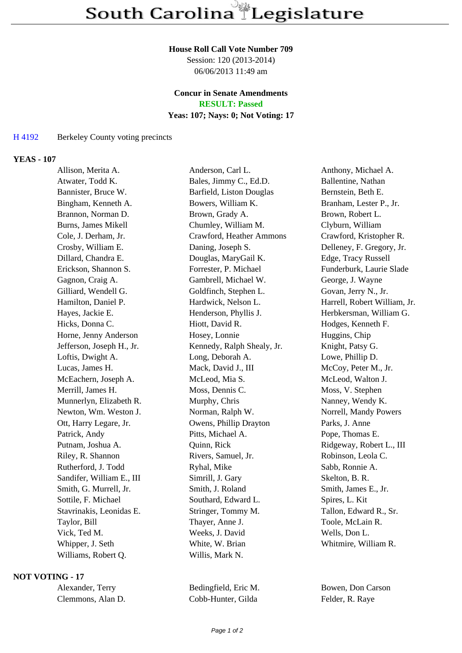#### **House Roll Call Vote Number 709**

Session: 120 (2013-2014) 06/06/2013 11:49 am

# **Concur in Senate Amendments**

**RESULT: Passed**

## **Yeas: 107; Nays: 0; Not Voting: 17**

### H 4192 Berkeley County voting precincts

#### **YEAS - 107**

| Allison, Merita A.         | Anderson, Carl L.          | Anthony, Michael A.          |
|----------------------------|----------------------------|------------------------------|
| Atwater, Todd K.           | Bales, Jimmy C., Ed.D.     | Ballentine, Nathan           |
| Bannister, Bruce W.        | Barfield, Liston Douglas   | Bernstein, Beth E.           |
| Bingham, Kenneth A.        | Bowers, William K.         | Branham, Lester P., Jr.      |
| Brannon, Norman D.         | Brown, Grady A.            | Brown, Robert L.             |
| <b>Burns, James Mikell</b> | Chumley, William M.        | Clyburn, William             |
| Cole, J. Derham, Jr.       | Crawford, Heather Ammons   | Crawford, Kristopher R.      |
| Crosby, William E.         | Daning, Joseph S.          | Delleney, F. Gregory, Jr.    |
| Dillard, Chandra E.        | Douglas, MaryGail K.       | Edge, Tracy Russell          |
| Erickson, Shannon S.       | Forrester, P. Michael      | Funderburk, Laurie Slade     |
| Gagnon, Craig A.           | Gambrell, Michael W.       | George, J. Wayne             |
| Gilliard, Wendell G.       | Goldfinch, Stephen L.      | Govan, Jerry N., Jr.         |
| Hamilton, Daniel P.        | Hardwick, Nelson L.        | Harrell, Robert William, Jr. |
| Hayes, Jackie E.           | Henderson, Phyllis J.      | Herbkersman, William G.      |
| Hicks, Donna C.            | Hiott, David R.            | Hodges, Kenneth F.           |
| Horne, Jenny Anderson      | Hosey, Lonnie              | Huggins, Chip                |
| Jefferson, Joseph H., Jr.  | Kennedy, Ralph Shealy, Jr. | Knight, Patsy G.             |
| Loftis, Dwight A.          | Long, Deborah A.           | Lowe, Phillip D.             |
| Lucas, James H.            | Mack, David J., III        | McCoy, Peter M., Jr.         |
| McEachern, Joseph A.       | McLeod, Mia S.             | McLeod, Walton J.            |
| Merrill, James H.          | Moss, Dennis C.            | Moss, V. Stephen             |
| Munnerlyn, Elizabeth R.    | Murphy, Chris              | Nanney, Wendy K.             |
| Newton, Wm. Weston J.      | Norman, Ralph W.           | Norrell, Mandy Powers        |
| Ott, Harry Legare, Jr.     | Owens, Phillip Drayton     | Parks, J. Anne               |
| Patrick, Andy              | Pitts, Michael A.          | Pope, Thomas E.              |
| Putnam, Joshua A.          | Quinn, Rick                | Ridgeway, Robert L., III     |
| Riley, R. Shannon          | Rivers, Samuel, Jr.        | Robinson, Leola C.           |
| Rutherford, J. Todd        | Ryhal, Mike                | Sabb, Ronnie A.              |
| Sandifer, William E., III  | Simrill, J. Gary           | Skelton, B. R.               |
| Smith, G. Murrell, Jr.     | Smith, J. Roland           | Smith, James E., Jr.         |
| Sottile, F. Michael        | Southard, Edward L.        | Spires, L. Kit               |
| Stavrinakis, Leonidas E.   | Stringer, Tommy M.         | Tallon, Edward R., Sr.       |
| Taylor, Bill               | Thayer, Anne J.            | Toole, McLain R.             |
| Vick, Ted M.               | Weeks, J. David            | Wells, Don L.                |
| Whipper, J. Seth           | White, W. Brian            | Whitmire, William R.         |
| Williams, Robert Q.        | Willis, Mark N.            |                              |
|                            |                            |                              |

#### **NOT VOTING - 17**

| Alexander, Terry  |  |
|-------------------|--|
| Clemmons, Alan D. |  |

Cobb-Hunter, Gilda Felder, R. Raye

Bedingfield, Eric M. Bowen, Don Carson